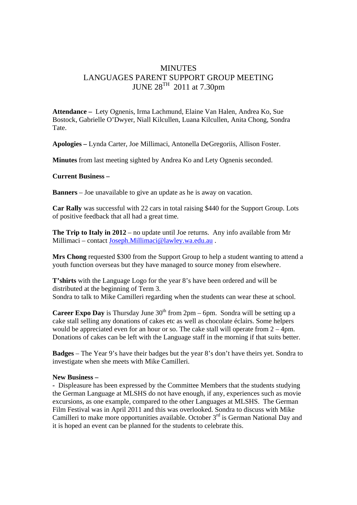## MINUTES LANGUAGES PARENT SUPPORT GROUP MEETING JUNE  $28^{TH}$  2011 at 7.30pm

**Attendance –** Lety Ognenis, Irma Lachmund, Elaine Van Halen, Andrea Ko, Sue Bostock, Gabrielle O'Dwyer, Niall Kilcullen, Luana Kilcullen, Anita Chong, Sondra Tate.

**Apologies –** Lynda Carter, Joe Millimaci, Antonella DeGregoriis, Allison Foster.

**Minutes** from last meeting sighted by Andrea Ko and Lety Ognenis seconded.

## **Current Business –**

**Banners** – Joe unavailable to give an update as he is away on vacation.

**Car Rally** was successful with 22 cars in total raising \$440 for the Support Group. Lots of positive feedback that all had a great time.

**The Trip to Italy in 2012** – no update until Joe returns. Any info available from Mr Millimaci – contact Joseph.Millimaci@lawley.wa.edu.au .

**Mrs Chong** requested \$300 from the Support Group to help a student wanting to attend a youth function overseas but they have managed to source money from elsewhere.

**T'shirts** with the Language Logo for the year 8's have been ordered and will be distributed at the beginning of Term 3. Sondra to talk to Mike Camilleri regarding when the students can wear these at school.

**Career Expo Day** is Thursday June  $30<sup>th</sup>$  from  $2pm - 6pm$ . Sondra will be setting up a cake stall selling any donations of cakes etc as well as chocolate éclairs. Some helpers would be appreciated even for an hour or so. The cake stall will operate from 2 – 4pm. Donations of cakes can be left with the Language staff in the morning if that suits better.

**Badges** – The Year 9's have their badges but the year 8's don't have theirs yet. Sondra to investigate when she meets with Mike Camilleri.

## **New Business –**

**-** Displeasure has been expressed by the Committee Members that the students studying the German Language at MLSHS do not have enough, if any, experiences such as movie excursions, as one example, compared to the other Languages at MLSHS. The German Film Festival was in April 2011 and this was overlooked. Sondra to discuss with Mike Camilleri to make more opportunities available. October  $3<sup>rd</sup>$  is German National Day and it is hoped an event can be planned for the students to celebrate this.